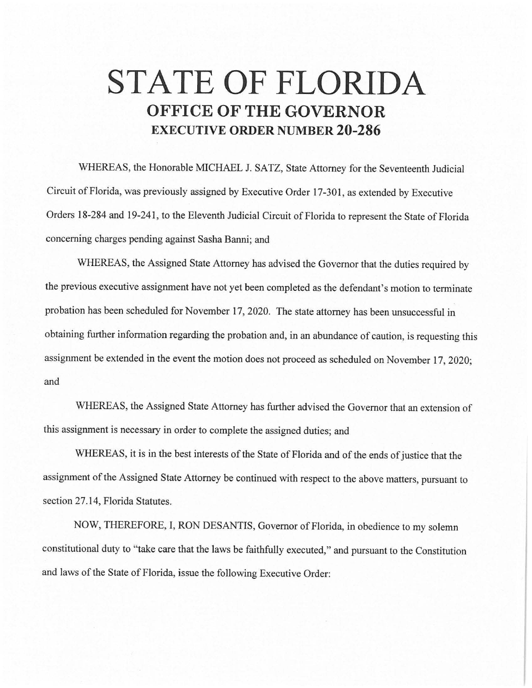## **STATE OF FLORIDA OFFICE OF THE GOVERNOR EXECUTIVE ORDER NUMBER 20-286**

WHEREAS, the Honorable MICHAEL J. SATZ, State Attorney for the Seventeenth Judicial Circuit of Florida, was previously assigned by Executive Order 17-301, as extended by Executive Orders 18-284 and 19-241, to the Eleventh Judicial Circuit of Florida to represent the State of Florida concerning charges pending against Sasha Banni; and

WHEREAS, the Assigned State Attorney has advised the Governor that the duties required by the previous executive assignment have not yet been completed as the defendant's motion to terminate probation has been scheduled for November 17, 2020. The state attorney has been unsuccessful in obtaining further information regarding the probation and, in an abundance of caution, is requesting this assignment be extended in the event the motion does not proceed as scheduled on November 17, 2020; and

WHEREAS, the Assigned State Attorney has further advised the Governor that an extension of this assignment is necessary in order to complete the assigned duties; and

WHEREAS, it is in the best interests of the State of Florida and of the ends of justice that the assignment of the Assigned State Attorney be continued with respect to the above matters, pursuant to section 27.14, Florida Statutes.

NOW, THEREFORE, I, RON DESANTIS, Governor of Florida, in obedience to my solemn constitutional duty to "take care that the laws be faithfully executed," and pursuant to the Constitution and laws of the State of Florida, issue the following Executive Order: